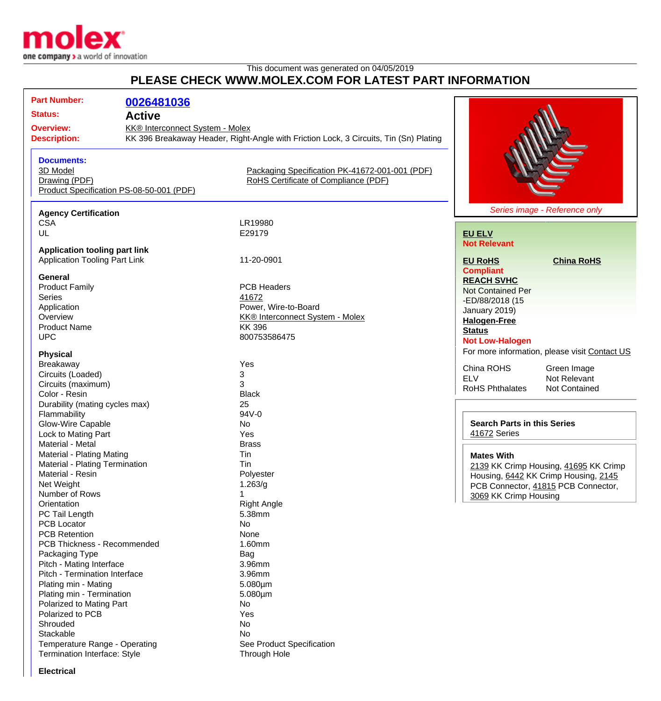

## This document was generated on 04/05/2019 **PLEASE CHECK WWW.MOLEX.COM FOR LATEST PART INFORMATION**

| <b>Part Number:</b>                                           | 0026481036                               |                                                                                       |                                               |
|---------------------------------------------------------------|------------------------------------------|---------------------------------------------------------------------------------------|-----------------------------------------------|
| <b>Status:</b>                                                | <b>Active</b>                            |                                                                                       |                                               |
| <b>Overview:</b>                                              | KK® Interconnect System - Molex          |                                                                                       |                                               |
| <b>Description:</b>                                           |                                          | KK 396 Breakaway Header, Right-Angle with Friction Lock, 3 Circuits, Tin (Sn) Plating |                                               |
|                                                               |                                          |                                                                                       |                                               |
| <b>Documents:</b>                                             |                                          |                                                                                       |                                               |
| 3D Model                                                      |                                          | Packaging Specification PK-41672-001-001 (PDF)                                        |                                               |
| Drawing (PDF)                                                 |                                          | RoHS Certificate of Compliance (PDF)                                                  |                                               |
|                                                               | Product Specification PS-08-50-001 (PDF) |                                                                                       |                                               |
|                                                               |                                          |                                                                                       |                                               |
|                                                               |                                          |                                                                                       | Series image - Reference only                 |
| <b>Agency Certification</b><br><b>CSA</b>                     |                                          | LR19980                                                                               |                                               |
| UL                                                            |                                          | E29179                                                                                |                                               |
|                                                               |                                          |                                                                                       | <b>EU ELV</b><br><b>Not Relevant</b>          |
| <b>Application tooling part link</b>                          |                                          |                                                                                       |                                               |
| <b>Application Tooling Part Link</b>                          |                                          | 11-20-0901                                                                            | <b>EU RoHS</b><br><b>China RoHS</b>           |
|                                                               |                                          |                                                                                       | <b>Compliant</b>                              |
| <b>General</b>                                                |                                          |                                                                                       | <b>REACH SVHC</b>                             |
| <b>Product Family</b>                                         |                                          | <b>PCB Headers</b>                                                                    | <b>Not Contained Per</b>                      |
| Series                                                        |                                          | 41672                                                                                 | -ED/88/2018 (15                               |
| Application                                                   |                                          | Power, Wire-to-Board                                                                  | January 2019)                                 |
| Overview                                                      |                                          | KK® Interconnect System - Molex                                                       | <b>Halogen-Free</b>                           |
| <b>Product Name</b>                                           |                                          | <b>KK396</b>                                                                          | <b>Status</b>                                 |
| <b>UPC</b>                                                    |                                          | 800753586475                                                                          | <b>Not Low-Halogen</b>                        |
| <b>Physical</b>                                               |                                          |                                                                                       | For more information, please visit Contact US |
| Breakaway                                                     |                                          | Yes                                                                                   |                                               |
| Circuits (Loaded)                                             |                                          | 3                                                                                     | China ROHS<br>Green Image                     |
| Circuits (maximum)                                            |                                          | 3                                                                                     | <b>ELV</b><br>Not Relevant                    |
| Color - Resin                                                 |                                          | <b>Black</b>                                                                          | <b>RoHS Phthalates</b><br>Not Contained       |
| Durability (mating cycles max)                                |                                          | 25                                                                                    |                                               |
| Flammability                                                  |                                          | 94V-0                                                                                 |                                               |
| Glow-Wire Capable                                             |                                          | No                                                                                    | <b>Search Parts in this Series</b>            |
| Lock to Mating Part                                           |                                          | Yes                                                                                   | 41672 Series                                  |
| Material - Metal                                              |                                          | <b>Brass</b>                                                                          |                                               |
| Material - Plating Mating                                     |                                          | Tin                                                                                   | <b>Mates With</b>                             |
| Material - Plating Termination                                |                                          | Tin                                                                                   | 2139 KK Crimp Housing, 41695 KK Crimp         |
| Material - Resin                                              |                                          | Polyester                                                                             | Housing, 6442 KK Crimp Housing, 2145          |
| Net Weight                                                    |                                          | 1.263/g                                                                               | PCB Connector, 41815 PCB Connector,           |
| Number of Rows                                                |                                          |                                                                                       | 3069 KK Crimp Housing                         |
| Orientation                                                   |                                          | <b>Right Angle</b>                                                                    |                                               |
| PC Tail Length                                                |                                          | 5.38mm                                                                                |                                               |
| <b>PCB Locator</b>                                            |                                          | <b>No</b>                                                                             |                                               |
| <b>PCB Retention</b>                                          |                                          | None                                                                                  |                                               |
| PCB Thickness - Recommended                                   |                                          | 1.60mm                                                                                |                                               |
| Packaging Type                                                |                                          | Bag                                                                                   |                                               |
| Pitch - Mating Interface                                      |                                          | 3.96mm                                                                                |                                               |
| Pitch - Termination Interface                                 |                                          | 3.96mm                                                                                |                                               |
| Plating min - Mating                                          |                                          | $5.080 \mu m$                                                                         |                                               |
| Plating min - Termination                                     |                                          | $5.080 \mu m$                                                                         |                                               |
| Polarized to Mating Part                                      |                                          | No                                                                                    |                                               |
| Polarized to PCB                                              |                                          | Yes                                                                                   |                                               |
| Shrouded                                                      |                                          | No                                                                                    |                                               |
| Stackable                                                     |                                          | No                                                                                    |                                               |
| Temperature Range - Operating<br>Termination Interface: Style |                                          | See Product Specification                                                             |                                               |
|                                                               |                                          | Through Hole                                                                          |                                               |